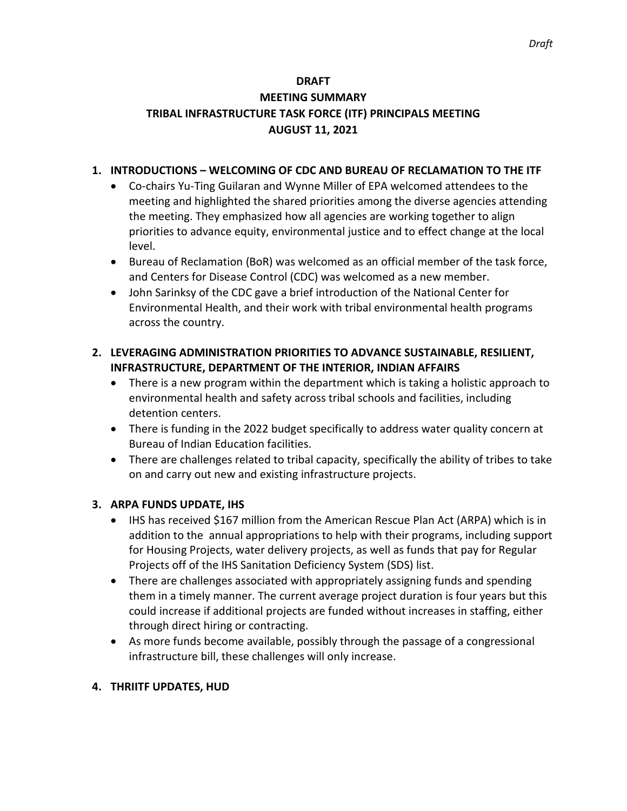#### **DRAFT**

# **MEETING SUMMARY TRIBAL INFRASTRUCTURE TASK FORCE (ITF) PRINCIPALS MEETING AUGUST 11, 2021**

#### **1. INTRODUCTIONS – WELCOMING OF CDC AND BUREAU OF RECLAMATION TO THE ITF**

- Co-chairs Yu-Ting Guilaran and Wynne Miller of EPA welcomed attendees to the meeting and highlighted the shared priorities among the diverse agencies attending the meeting. They emphasized how all agencies are working together to align priorities to advance equity, environmental justice and to effect change at the local level.
- Bureau of Reclamation (BoR) was welcomed as an official member of the task force, and Centers for Disease Control (CDC) was welcomed as a new member.
- John Sarinksy of the CDC gave a brief introduction of the National Center for Environmental Health, and their work with tribal environmental health programs across the country.

# **2. LEVERAGING ADMINISTRATION PRIORITIES TO ADVANCE SUSTAINABLE, RESILIENT, INFRASTRUCTURE, DEPARTMENT OF THE INTERIOR, INDIAN AFFAIRS**

- There is a new program within the department which is taking a holistic approach to environmental health and safety across tribal schools and facilities, including detention centers.
- There is funding in the 2022 budget specifically to address water quality concern at Bureau of Indian Education facilities.
- There are challenges related to tribal capacity, specifically the ability of tribes to take on and carry out new and existing infrastructure projects.

## **3. ARPA FUNDS UPDATE, IHS**

- IHS has received \$167 million from the American Rescue Plan Act (ARPA) which is in addition to the annual appropriations to help with their programs, including support for Housing Projects, water delivery projects, as well as funds that pay for Regular Projects off of the IHS Sanitation Deficiency System (SDS) list.
- There are challenges associated with appropriately assigning funds and spending them in a timely manner. The current average project duration is four years but this could increase if additional projects are funded without increases in staffing, either through direct hiring or contracting.
- As more funds become available, possibly through the passage of a congressional infrastructure bill, these challenges will only increase.

## **4. THRIITF UPDATES, HUD**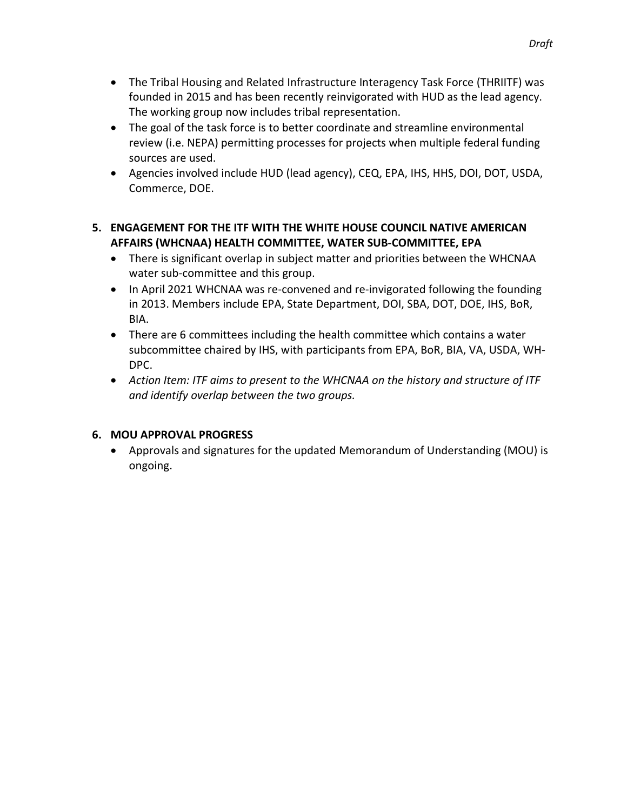- The Tribal Housing and Related Infrastructure Interagency Task Force (THRIITF) was founded in 2015 and has been recently reinvigorated with HUD as the lead agency. The working group now includes tribal representation.
- The goal of the task force is to better coordinate and streamline environmental review (i.e. NEPA) permitting processes for projects when multiple federal funding sources are used.
- Agencies involved include HUD (lead agency), CEQ, EPA, IHS, HHS, DOI, DOT, USDA, Commerce, DOE.

# **5. ENGAGEMENT FOR THE ITF WITH THE WHITE HOUSE COUNCIL NATIVE AMERICAN AFFAIRS (WHCNAA) HEALTH COMMITTEE, WATER SUB-COMMITTEE, EPA**

- There is significant overlap in subject matter and priorities between the WHCNAA water sub-committee and this group.
- In April 2021 WHCNAA was re-convened and re-invigorated following the founding in 2013. Members include EPA, State Department, DOI, SBA, DOT, DOE, IHS, BoR, BIA.
- There are 6 committees including the health committee which contains a water subcommittee chaired by IHS, with participants from EPA, BoR, BIA, VA, USDA, WH-DPC.
- *Action Item: ITF aims to present to the WHCNAA on the history and structure of ITF and identify overlap between the two groups.*

# **6. MOU APPROVAL PROGRESS**

• Approvals and signatures for the updated Memorandum of Understanding (MOU) is ongoing.